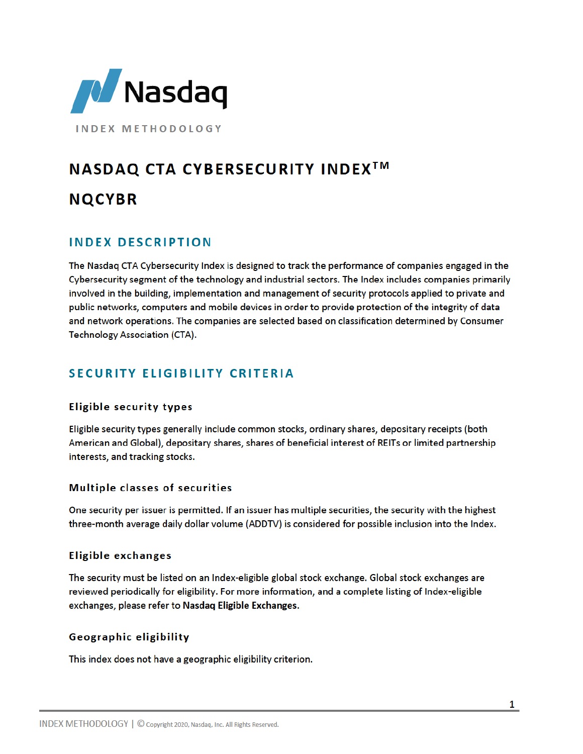

**INDEX METHODOLOGY** 

# **NASDAQ CTA CYBERSECURITY INDEX<sup>™</sup> NQCYBR**

# **INDEX DESCRIPTION**

The Nasdaq CTA Cybersecurity Index is designed to track the performance of companies engaged in the Cybersecurity segment of the technology and industrial sectors. The Index includes companies primarily involved in the building, implementation and management of security protocols applied to private and public networks, computers and mobile devices in order to provide protection of the integrity of data and network operations. The companies are selected based on classification determined by Consumer **Technology Association (CTA).** 

# **SECURITY ELIGIBILITY CRITERIA**

# **Eligible security types**

Eligible security types generally include common stocks, ordinary shares, depositary receipts (both American and Global), depositary shares, shares of beneficial interest of REITs or limited partnership interests, and tracking stocks.

## **Multiple classes of securities**

One security per issuer is permitted. If an issuer has multiple securities, the security with the highest three-month average daily dollar volume (ADDTV) is considered for possible inclusion into the Index.

## **Eligible exchanges**

The security must be listed on an Index-eligible global stock exchange. Global stock exchanges are reviewed periodically for eligibility. For more information, and a complete listing of Index-eligible exchanges, please refer to Nasdaq Eligible Exchanges.

# Geographic eligibility

This index does not have a geographic eligibility criterion.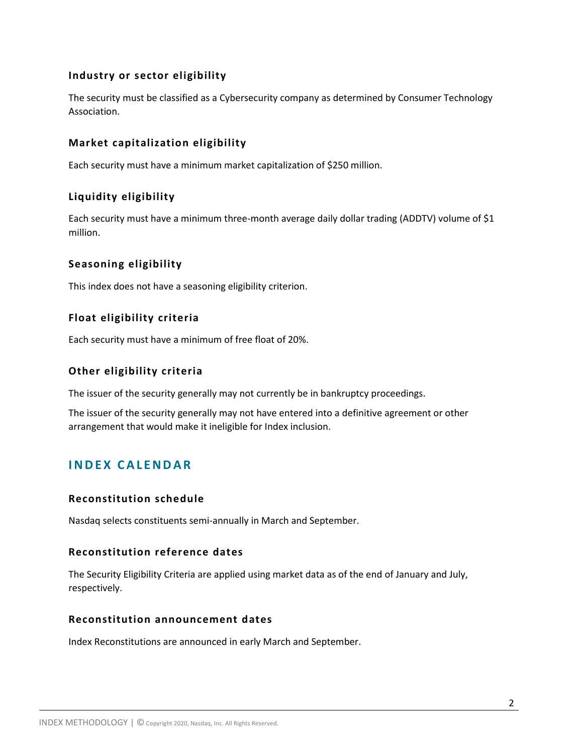## **Industry or sector eligibility**

The security must be classified as a Cybersecurity company as determined by Consumer Technology Association.

# **Market capitalization eligibility**

Each security must have a minimum market capitalization of \$250 million.

# **Liquidity eligibility**

Each security must have a minimum three-month average daily dollar trading (ADDTV) volume of \$1 million.

# **Seasoning eligibility**

This index does not have a seasoning eligibility criterion.

# **Float eligibility criteria**

Each security must have a minimum of free float of 20%.

## **Other eligibility criteria**

The issuer of the security generally may not currently be in bankruptcy proceedings.

The issuer of the security generally may not have entered into a definitive agreement or other arrangement that would make it ineligible for Index inclusion.

# **I N D E X C A L E N D A R**

## **Reconstitution schedule**

Nasdaq selects constituents semi-annually in March and September.

## **Reconstitution reference dates**

The Security Eligibility Criteria are applied using market data as of the end of January and July, respectively.

#### **Reconstitution announcement dates**

Index Reconstitutions are announced in early March and September.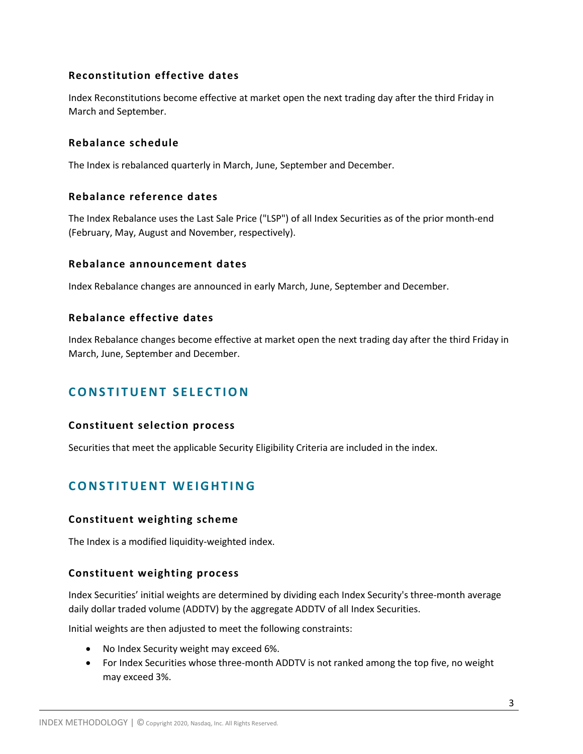# **Reconstitution effective dates**

Index Reconstitutions become effective at market open the next trading day after the third Friday in March and September.

#### **Rebalance schedule**

The Index is rebalanced quarterly in March, June, September and December.

#### **Rebalance reference dates**

The Index Rebalance uses the Last Sale Price ("LSP") of all Index Securities as of the prior month-end (February, May, August and November, respectively).

#### **Rebalance announcement dates**

Index Rebalance changes are announced in early March, June, September and December.

#### **Rebalance effective dates**

Index Rebalance changes become effective at market open the next trading day after the third Friday in March, June, September and December.

# **CONSTITUENT SELECTION**

#### **Constituent selection process**

Securities that meet the applicable Security Eligibility Criteria are included in the index.

# **CONSTITUENT WEIGHTING**

#### **Constituent weighting scheme**

The Index is a modified liquidity-weighted index.

## **Constituent weighting process**

Index Securities' initial weights are determined by dividing each Index Security's three-month average daily dollar traded volume (ADDTV) by the aggregate ADDTV of all Index Securities.

Initial weights are then adjusted to meet the following constraints:

- No Index Security weight may exceed 6%.
- For Index Securities whose three-month ADDTV is not ranked among the top five, no weight may exceed 3%.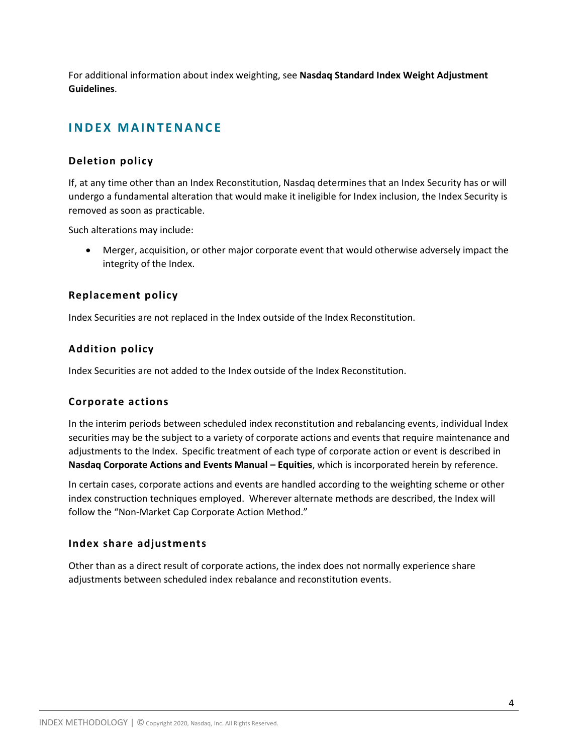For additional information about index weighting, see **Nasdaq Standard Index Weight Adjustment Guidelines**.

# **INDEX MAINTENANCE**

# **Deletion policy**

If, at any time other than an Index Reconstitution, Nasdaq determines that an Index Security has or will undergo a fundamental alteration that would make it ineligible for Index inclusion, the Index Security is removed as soon as practicable.

Such alterations may include:

 Merger, acquisition, or other major corporate event that would otherwise adversely impact the integrity of the Index.

# **Replacement policy**

Index Securities are not replaced in the Index outside of the Index Reconstitution.

# **Addition policy**

Index Securities are not added to the Index outside of the Index Reconstitution.

# **Corporate actions**

In the interim periods between scheduled index reconstitution and rebalancing events, individual Index securities may be the subject to a variety of corporate actions and events that require maintenance and adjustments to the Index. Specific treatment of each type of corporate action or event is described in **Nasdaq Corporate Actions and Events Manual – Equities**, which is incorporated herein by reference.

In certain cases, corporate actions and events are handled according to the weighting scheme or other index construction techniques employed. Wherever alternate methods are described, the Index will follow the "Non-Market Cap Corporate Action Method."

## **Index share adjustments**

Other than as a direct result of corporate actions, the index does not normally experience share adjustments between scheduled index rebalance and reconstitution events.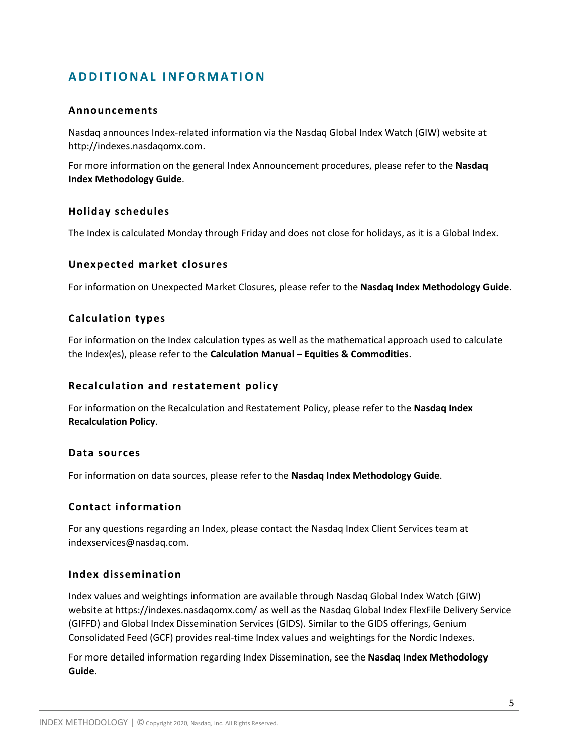# **A D D I T I O N A L I N F O R M A T IO N**

#### **Announcements**

Nasdaq announces Index-related information via the Nasdaq Global Index Watch (GIW) website at http://indexes.nasdaqomx.com.

For more information on the general Index Announcement procedures, please refer to the **Nasdaq Index Methodology Guide**.

#### **Holiday schedules**

The Index is calculated Monday through Friday and does not close for holidays, as it is a Global Index.

#### **Unexpected market closures**

For information on Unexpected Market Closures, please refer to the **Nasdaq Index Methodology Guide**.

#### **Calculation types**

For information on the Index calculation types as well as the mathematical approach used to calculate the Index(es), please refer to the **Calculation Manual – Equities & Commodities**.

#### **Recalculation and restatement policy**

For information on the Recalculation and Restatement Policy, please refer to the **Nasdaq Index Recalculation Policy**.

#### **Data sources**

For information on data sources, please refer to the **Nasdaq Index Methodology Guide**.

#### **Contact information**

For any questions regarding an Index, please contact the Nasdaq Index Client Services team at indexservices@nasdaq.com.

#### **Index dissemination**

Index values and weightings information are available through Nasdaq Global Index Watch (GIW) website at https://indexes.nasdaqomx.com/ as well as the Nasdaq Global Index FlexFile Delivery Service (GIFFD) and Global Index Dissemination Services (GIDS). Similar to the GIDS offerings, Genium Consolidated Feed (GCF) provides real-time Index values and weightings for the Nordic Indexes.

For more detailed information regarding Index Dissemination, see the **Nasdaq Index Methodology Guide**.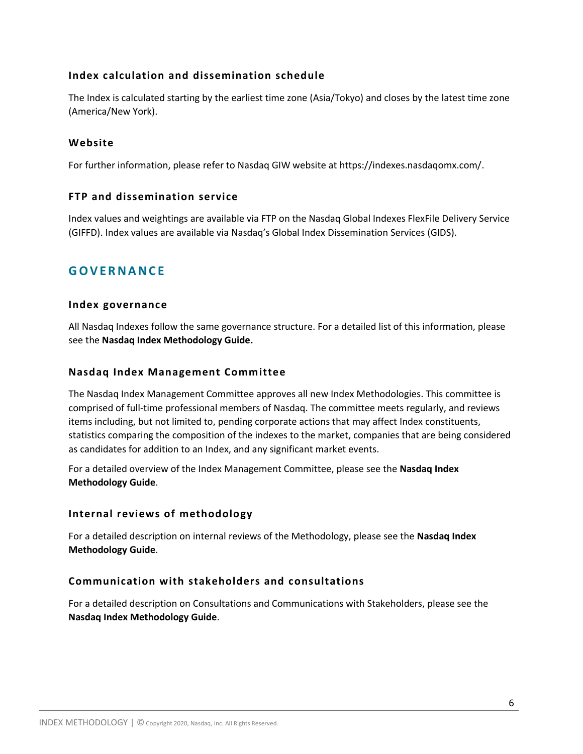# **Index calculation and dissemination schedule**

The Index is calculated starting by the earliest time zone (Asia/Tokyo) and closes by the latest time zone (America/New York).

#### **Website**

For further information, please refer to Nasdaq GIW website at https://indexes.nasdaqomx.com/.

## **FTP and dissemination service**

Index values and weightings are available via FTP on the Nasdaq Global Indexes FlexFile Delivery Service (GIFFD). Index values are available via Nasdaq's Global Index Dissemination Services (GIDS).

# **G O V E R N A N C E**

#### **Index governance**

All Nasdaq Indexes follow the same governance structure. For a detailed list of this information, please see the **Nasdaq Index Methodology Guide.**

#### **Nasdaq Index Management Committee**

The Nasdaq Index Management Committee approves all new Index Methodologies. This committee is comprised of full-time professional members of Nasdaq. The committee meets regularly, and reviews items including, but not limited to, pending corporate actions that may affect Index constituents, statistics comparing the composition of the indexes to the market, companies that are being considered as candidates for addition to an Index, and any significant market events.

For a detailed overview of the Index Management Committee, please see the **Nasdaq Index Methodology Guide**.

## **Internal reviews of methodology**

For a detailed description on internal reviews of the Methodology, please see the **Nasdaq Index Methodology Guide**.

## **Communication with stakeholders and consultations**

For a detailed description on Consultations and Communications with Stakeholders, please see the **Nasdaq Index Methodology Guide**.